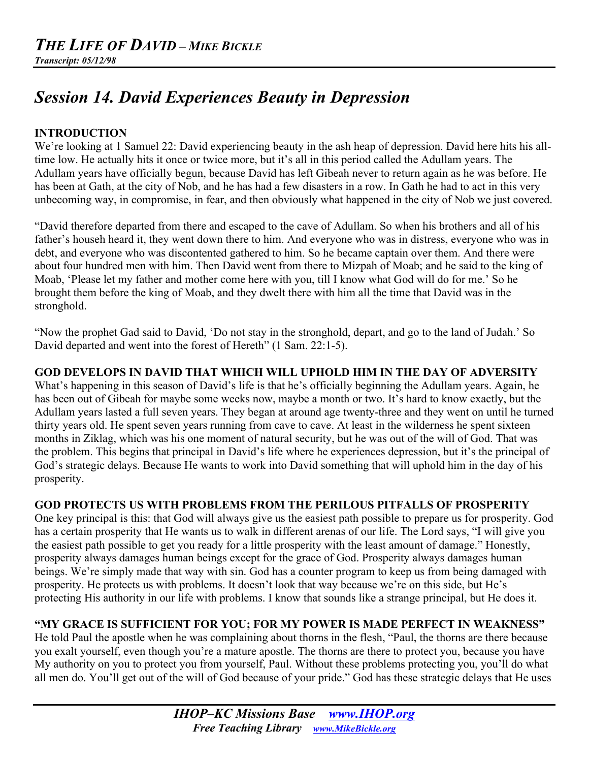# *Session 14. David Experiences Beauty in Depression*

## **INTRODUCTION**

We're looking at 1 Samuel 22: David experiencing beauty in the ash heap of depression. David here hits his alltime low. He actually hits it once or twice more, but it's all in this period called the Adullam years. The Adullam years have officially begun, because David has left Gibeah never to return again as he was before. He has been at Gath, at the city of Nob, and he has had a few disasters in a row. In Gath he had to act in this very unbecoming way, in compromise, in fear, and then obviously what happened in the city of Nob we just covered.

"David therefore departed from there and escaped to the cave of Adullam. So when his brothers and all of his father's househ heard it, they went down there to him. And everyone who was in distress, everyone who was in debt, and everyone who was discontented gathered to him. So he became captain over them. And there were about four hundred men with him. Then David went from there to Mizpah of Moab; and he said to the king of Moab, 'Please let my father and mother come here with you, till I know what God will do for me.' So he brought them before the king of Moab, and they dwelt there with him all the time that David was in the stronghold.

"Now the prophet Gad said to David, 'Do not stay in the stronghold, depart, and go to the land of Judah.' So David departed and went into the forest of Hereth" (1 Sam. 22:1-5).

### **GOD DEVELOPS IN DAVID THAT WHICH WILL UPHOLD HIM IN THE DAY OF ADVERSITY**

What's happening in this season of David's life is that he's officially beginning the Adullam years. Again, he has been out of Gibeah for maybe some weeks now, maybe a month or two. It's hard to know exactly, but the Adullam years lasted a full seven years. They began at around age twenty-three and they went on until he turned thirty years old. He spent seven years running from cave to cave. At least in the wilderness he spent sixteen months in Ziklag, which was his one moment of natural security, but he was out of the will of God. That was the problem. This begins that principal in David's life where he experiences depression, but it's the principal of God's strategic delays. Because He wants to work into David something that will uphold him in the day of his prosperity.

### **GOD PROTECTS US WITH PROBLEMS FROM THE PERILOUS PITFALLS OF PROSPERITY**

One key principal is this: that God will always give us the easiest path possible to prepare us for prosperity. God has a certain prosperity that He wants us to walk in different arenas of our life. The Lord says, "I will give you the easiest path possible to get you ready for a little prosperity with the least amount of damage." Honestly, prosperity always damages human beings except for the grace of God. Prosperity always damages human beings. We're simply made that way with sin. God has a counter program to keep us from being damaged with prosperity. He protects us with problems. It doesn't look that way because we're on this side, but He's protecting His authority in our life with problems. I know that sounds like a strange principal, but He does it.

### **"MY GRACE IS SUFFICIENT FOR YOU; FOR MY POWER IS MADE PERFECT IN WEAKNESS"**

He told Paul the apostle when he was complaining about thorns in the flesh, "Paul, the thorns are there because you exalt yourself, even though you're a mature apostle. The thorns are there to protect you, because you have My authority on you to protect you from yourself, Paul. Without these problems protecting you, you'll do what all men do. You'll get out of the will of God because of your pride." God has these strategic delays that He uses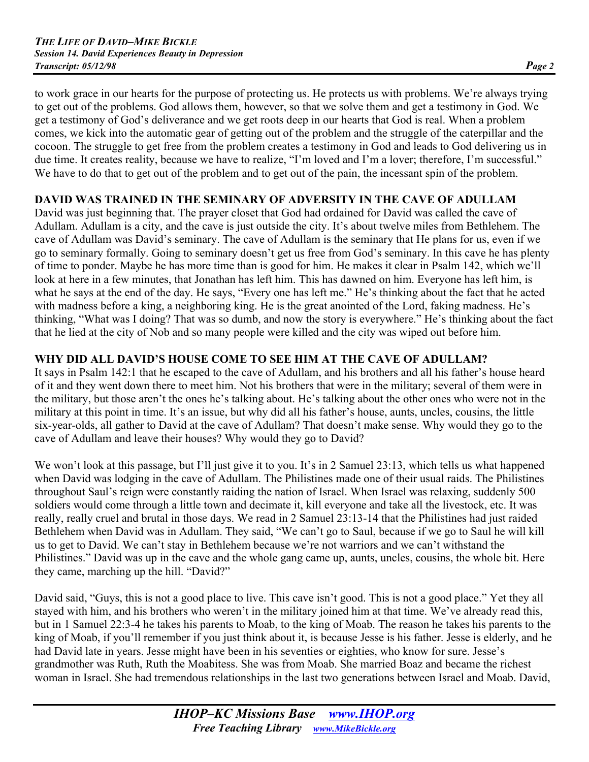to work grace in our hearts for the purpose of protecting us. He protects us with problems. We're always trying to get out of the problems. God allows them, however, so that we solve them and get a testimony in God. We get a testimony of God's deliverance and we get roots deep in our hearts that God is real. When a problem comes, we kick into the automatic gear of getting out of the problem and the struggle of the caterpillar and the cocoon. The struggle to get free from the problem creates a testimony in God and leads to God delivering us in due time. It creates reality, because we have to realize, "I'm loved and I'm a lover; therefore, I'm successful." We have to do that to get out of the problem and to get out of the pain, the incessant spin of the problem.

## **DAVID WAS TRAINED IN THE SEMINARY OF ADVERSITY IN THE CAVE OF ADULLAM**

David was just beginning that. The prayer closet that God had ordained for David was called the cave of Adullam. Adullam is a city, and the cave is just outside the city. It's about twelve miles from Bethlehem. The cave of Adullam was David's seminary. The cave of Adullam is the seminary that He plans for us, even if we go to seminary formally. Going to seminary doesn't get us free from God's seminary. In this cave he has plenty of time to ponder. Maybe he has more time than is good for him. He makes it clear in Psalm 142, which we'll look at here in a few minutes, that Jonathan has left him. This has dawned on him. Everyone has left him, is what he says at the end of the day. He says, "Every one has left me." He's thinking about the fact that he acted with madness before a king, a neighboring king. He is the great anointed of the Lord, faking madness. He's thinking, "What was I doing? That was so dumb, and now the story is everywhere." He's thinking about the fact that he lied at the city of Nob and so many people were killed and the city was wiped out before him.

# **WHY DID ALL DAVID'S HOUSE COME TO SEE HIM AT THE CAVE OF ADULLAM?**

It says in Psalm 142:1 that he escaped to the cave of Adullam, and his brothers and all his father's house heard of it and they went down there to meet him. Not his brothers that were in the military; several of them were in the military, but those aren't the ones he's talking about. He's talking about the other ones who were not in the military at this point in time. It's an issue, but why did all his father's house, aunts, uncles, cousins, the little six-year-olds, all gather to David at the cave of Adullam? That doesn't make sense. Why would they go to the cave of Adullam and leave their houses? Why would they go to David?

We won't look at this passage, but I'll just give it to you. It's in 2 Samuel 23:13, which tells us what happened when David was lodging in the cave of Adullam. The Philistines made one of their usual raids. The Philistines throughout Saul's reign were constantly raiding the nation of Israel. When Israel was relaxing, suddenly 500 soldiers would come through a little town and decimate it, kill everyone and take all the livestock, etc. It was really, really cruel and brutal in those days. We read in 2 Samuel 23:13-14 that the Philistines had just raided Bethlehem when David was in Adullam. They said, "We can't go to Saul, because if we go to Saul he will kill us to get to David. We can't stay in Bethlehem because we're not warriors and we can't withstand the Philistines." David was up in the cave and the whole gang came up, aunts, uncles, cousins, the whole bit. Here they came, marching up the hill. "David?"

David said, "Guys, this is not a good place to live. This cave isn't good. This is not a good place." Yet they all stayed with him, and his brothers who weren't in the military joined him at that time. We've already read this, but in 1 Samuel 22:3-4 he takes his parents to Moab, to the king of Moab. The reason he takes his parents to the king of Moab, if you'll remember if you just think about it, is because Jesse is his father. Jesse is elderly, and he had David late in years. Jesse might have been in his seventies or eighties, who know for sure. Jesse's grandmother was Ruth, Ruth the Moabitess. She was from Moab. She married Boaz and became the richest woman in Israel. She had tremendous relationships in the last two generations between Israel and Moab. David,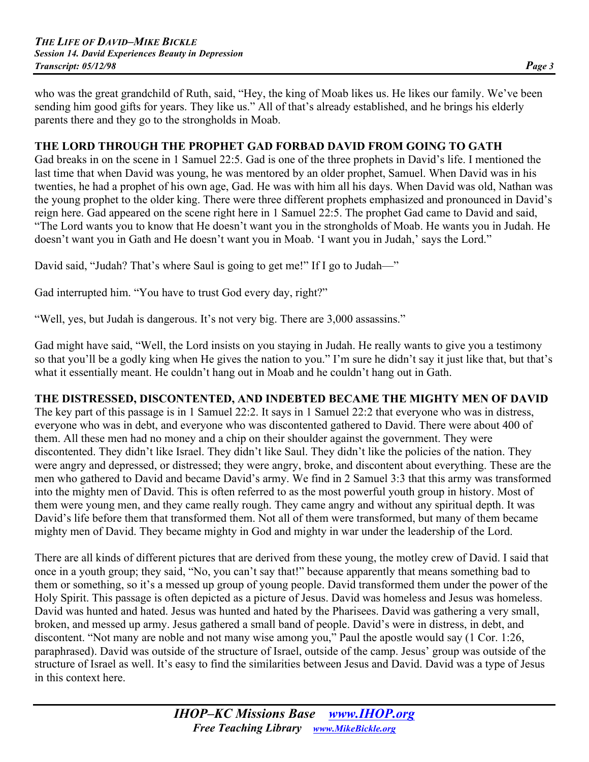who was the great grandchild of Ruth, said, "Hey, the king of Moab likes us. He likes our family. We've been sending him good gifts for years. They like us." All of that's already established, and he brings his elderly parents there and they go to the strongholds in Moab.

#### **THE LORD THROUGH THE PROPHET GAD FORBAD DAVID FROM GOING TO GATH**

Gad breaks in on the scene in 1 Samuel 22:5. Gad is one of the three prophets in David's life. I mentioned the last time that when David was young, he was mentored by an older prophet, Samuel. When David was in his twenties, he had a prophet of his own age, Gad. He was with him all his days. When David was old, Nathan was the young prophet to the older king. There were three different prophets emphasized and pronounced in David's reign here. Gad appeared on the scene right here in 1 Samuel 22:5. The prophet Gad came to David and said, "The Lord wants you to know that He doesn't want you in the strongholds of Moab. He wants you in Judah. He doesn't want you in Gath and He doesn't want you in Moab. 'I want you in Judah,' says the Lord."

David said, "Judah? That's where Saul is going to get me!" If I go to Judah—"

Gad interrupted him. "You have to trust God every day, right?"

"Well, yes, but Judah is dangerous. It's not very big. There are 3,000 assassins."

Gad might have said, "Well, the Lord insists on you staying in Judah. He really wants to give you a testimony so that you'll be a godly king when He gives the nation to you." I'm sure he didn't say it just like that, but that's what it essentially meant. He couldn't hang out in Moab and he couldn't hang out in Gath.

### **THE DISTRESSED, DISCONTENTED, AND INDEBTED BECAME THE MIGHTY MEN OF DAVID**

The key part of this passage is in 1 Samuel 22:2. It says in 1 Samuel 22:2 that everyone who was in distress, everyone who was in debt, and everyone who was discontented gathered to David. There were about 400 of them. All these men had no money and a chip on their shoulder against the government. They were discontented. They didn't like Israel. They didn't like Saul. They didn't like the policies of the nation. They were angry and depressed, or distressed; they were angry, broke, and discontent about everything. These are the men who gathered to David and became David's army. We find in 2 Samuel 3:3 that this army was transformed into the mighty men of David. This is often referred to as the most powerful youth group in history. Most of them were young men, and they came really rough. They came angry and without any spiritual depth. It was David's life before them that transformed them. Not all of them were transformed, but many of them became mighty men of David. They became mighty in God and mighty in war under the leadership of the Lord.

There are all kinds of different pictures that are derived from these young, the motley crew of David. I said that once in a youth group; they said, "No, you can't say that!" because apparently that means something bad to them or something, so it's a messed up group of young people. David transformed them under the power of the Holy Spirit. This passage is often depicted as a picture of Jesus. David was homeless and Jesus was homeless. David was hunted and hated. Jesus was hunted and hated by the Pharisees. David was gathering a very small, broken, and messed up army. Jesus gathered a small band of people. David's were in distress, in debt, and discontent. "Not many are noble and not many wise among you," Paul the apostle would say (1 Cor. 1:26, paraphrased). David was outside of the structure of Israel, outside of the camp. Jesus' group was outside of the structure of Israel as well. It's easy to find the similarities between Jesus and David. David was a type of Jesus in this context here.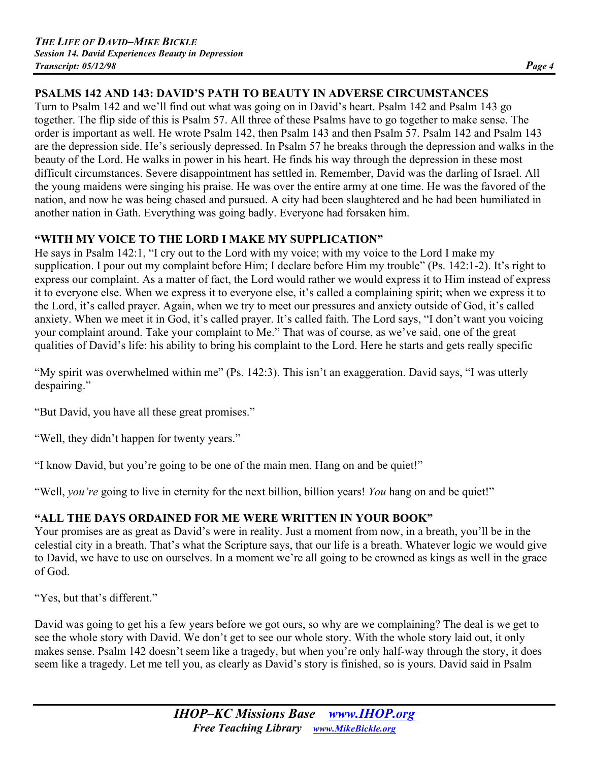# **PSALMS 142 AND 143: DAVID'S PATH TO BEAUTY IN ADVERSE CIRCUMSTANCES**

Turn to Psalm 142 and we'll find out what was going on in David's heart. Psalm 142 and Psalm 143 go together. The flip side of this is Psalm 57. All three of these Psalms have to go together to make sense. The order is important as well. He wrote Psalm 142, then Psalm 143 and then Psalm 57. Psalm 142 and Psalm 143 are the depression side. He's seriously depressed. In Psalm 57 he breaks through the depression and walks in the beauty of the Lord. He walks in power in his heart. He finds his way through the depression in these most difficult circumstances. Severe disappointment has settled in. Remember, David was the darling of Israel. All the young maidens were singing his praise. He was over the entire army at one time. He was the favored of the nation, and now he was being chased and pursued. A city had been slaughtered and he had been humiliated in another nation in Gath. Everything was going badly. Everyone had forsaken him.

## **"WITH MY VOICE TO THE LORD I MAKE MY SUPPLICATION"**

He says in Psalm 142:1, "I cry out to the Lord with my voice; with my voice to the Lord I make my supplication. I pour out my complaint before Him; I declare before Him my trouble" (Ps. 142:1-2). It's right to express our complaint. As a matter of fact, the Lord would rather we would express it to Him instead of express it to everyone else. When we express it to everyone else, it's called a complaining spirit; when we express it to the Lord, it's called prayer. Again, when we try to meet our pressures and anxiety outside of God, it's called anxiety. When we meet it in God, it's called prayer. It's called faith. The Lord says, "I don't want you voicing your complaint around. Take your complaint to Me." That was of course, as we've said, one of the great qualities of David's life: his ability to bring his complaint to the Lord. Here he starts and gets really specific

"My spirit was overwhelmed within me" (Ps. 142:3). This isn't an exaggeration. David says, "I was utterly despairing."

"But David, you have all these great promises."

"Well, they didn't happen for twenty years."

"I know David, but you're going to be one of the main men. Hang on and be quiet!"

"Well, *you're* going to live in eternity for the next billion, billion years! *You* hang on and be quiet!"

# **"ALL THE DAYS ORDAINED FOR ME WERE WRITTEN IN YOUR BOOK"**

Your promises are as great as David's were in reality. Just a moment from now, in a breath, you'll be in the celestial city in a breath. That's what the Scripture says, that our life is a breath. Whatever logic we would give to David, we have to use on ourselves. In a moment we're all going to be crowned as kings as well in the grace of God.

"Yes, but that's different."

David was going to get his a few years before we got ours, so why are we complaining? The deal is we get to see the whole story with David. We don't get to see our whole story. With the whole story laid out, it only makes sense. Psalm 142 doesn't seem like a tragedy, but when you're only half-way through the story, it does seem like a tragedy. Let me tell you, as clearly as David's story is finished, so is yours. David said in Psalm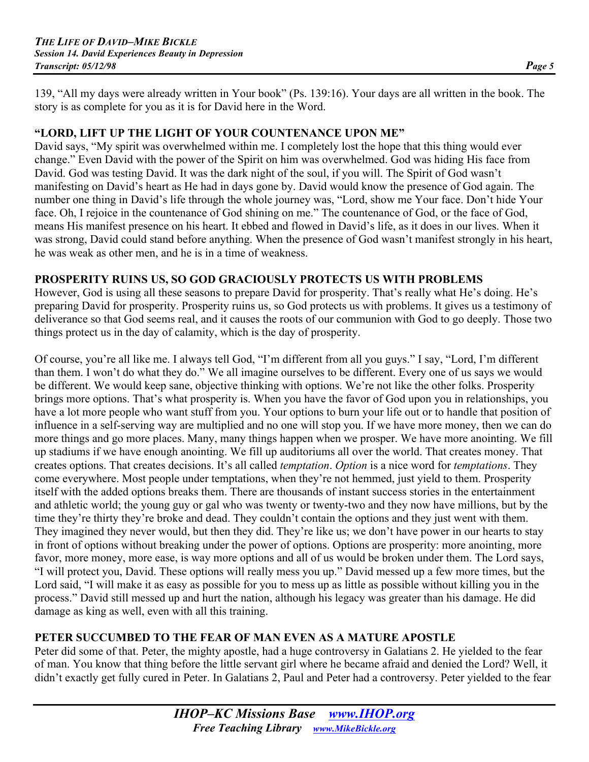139, "All my days were already written in Your book" (Ps. 139:16). Your days are all written in the book. The story is as complete for you as it is for David here in the Word.

### **"LORD, LIFT UP THE LIGHT OF YOUR COUNTENANCE UPON ME"**

David says, "My spirit was overwhelmed within me. I completely lost the hope that this thing would ever change." Even David with the power of the Spirit on him was overwhelmed. God was hiding His face from David. God was testing David. It was the dark night of the soul, if you will. The Spirit of God wasn't manifesting on David's heart as He had in days gone by. David would know the presence of God again. The number one thing in David's life through the whole journey was, "Lord, show me Your face. Don't hide Your face. Oh, I rejoice in the countenance of God shining on me." The countenance of God, or the face of God, means His manifest presence on his heart. It ebbed and flowed in David's life, as it does in our lives. When it was strong, David could stand before anything. When the presence of God wasn't manifest strongly in his heart, he was weak as other men, and he is in a time of weakness.

### **PROSPERITY RUINS US, SO GOD GRACIOUSLY PROTECTS US WITH PROBLEMS**

However, God is using all these seasons to prepare David for prosperity. That's really what He's doing. He's preparing David for prosperity. Prosperity ruins us, so God protects us with problems. It gives us a testimony of deliverance so that God seems real, and it causes the roots of our communion with God to go deeply. Those two things protect us in the day of calamity, which is the day of prosperity.

Of course, you're all like me. I always tell God, "I'm different from all you guys." I say, "Lord, I'm different than them. I won't do what they do." We all imagine ourselves to be different. Every one of us says we would be different. We would keep sane, objective thinking with options. We're not like the other folks. Prosperity brings more options. That's what prosperity is. When you have the favor of God upon you in relationships, you have a lot more people who want stuff from you. Your options to burn your life out or to handle that position of influence in a self-serving way are multiplied and no one will stop you. If we have more money, then we can do more things and go more places. Many, many things happen when we prosper. We have more anointing. We fill up stadiums if we have enough anointing. We fill up auditoriums all over the world. That creates money. That creates options. That creates decisions. It's all called *temptation*. *Option* is a nice word for *temptations*. They come everywhere. Most people under temptations, when they're not hemmed, just yield to them. Prosperity itself with the added options breaks them. There are thousands of instant success stories in the entertainment and athletic world; the young guy or gal who was twenty or twenty-two and they now have millions, but by the time they're thirty they're broke and dead. They couldn't contain the options and they just went with them. They imagined they never would, but then they did. They're like us; we don't have power in our hearts to stay in front of options without breaking under the power of options. Options are prosperity: more anointing, more favor, more money, more ease, is way more options and all of us would be broken under them. The Lord says, "I will protect you, David. These options will really mess you up." David messed up a few more times, but the Lord said, "I will make it as easy as possible for you to mess up as little as possible without killing you in the process." David still messed up and hurt the nation, although his legacy was greater than his damage. He did damage as king as well, even with all this training.

### **PETER SUCCUMBED TO THE FEAR OF MAN EVEN AS A MATURE APOSTLE**

Peter did some of that. Peter, the mighty apostle, had a huge controversy in Galatians 2. He yielded to the fear of man. You know that thing before the little servant girl where he became afraid and denied the Lord? Well, it didn't exactly get fully cured in Peter. In Galatians 2, Paul and Peter had a controversy. Peter yielded to the fear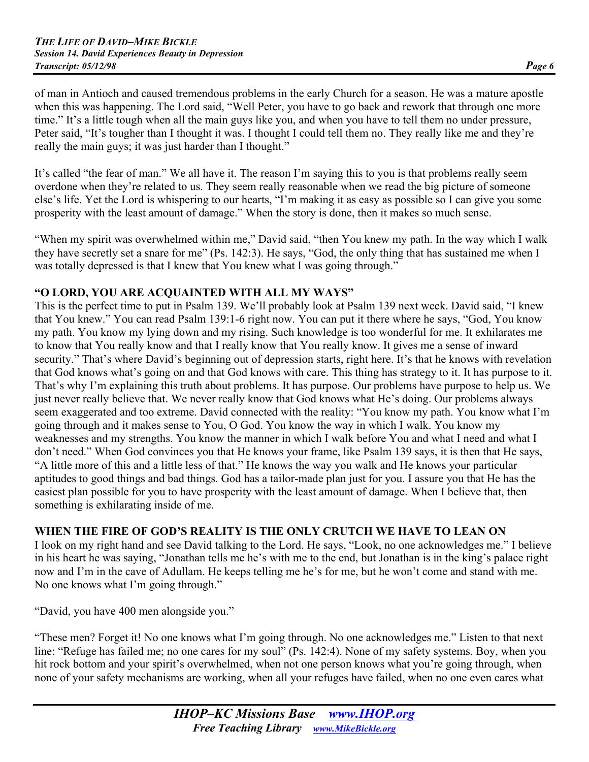of man in Antioch and caused tremendous problems in the early Church for a season. He was a mature apostle when this was happening. The Lord said, "Well Peter, you have to go back and rework that through one more time." It's a little tough when all the main guys like you, and when you have to tell them no under pressure, Peter said, "It's tougher than I thought it was. I thought I could tell them no. They really like me and they're really the main guys; it was just harder than I thought."

It's called "the fear of man." We all have it. The reason I'm saying this to you is that problems really seem overdone when they're related to us. They seem really reasonable when we read the big picture of someone else's life. Yet the Lord is whispering to our hearts, "I'm making it as easy as possible so I can give you some prosperity with the least amount of damage." When the story is done, then it makes so much sense.

"When my spirit was overwhelmed within me," David said, "then You knew my path. In the way which I walk they have secretly set a snare for me" (Ps. 142:3). He says, "God, the only thing that has sustained me when I was totally depressed is that I knew that You knew what I was going through."

### **"O LORD, YOU ARE ACQUAINTED WITH ALL MY WAYS"**

This is the perfect time to put in Psalm 139. We'll probably look at Psalm 139 next week. David said, "I knew that You knew." You can read Psalm 139:1-6 right now. You can put it there where he says, "God, You know my path. You know my lying down and my rising. Such knowledge is too wonderful for me. It exhilarates me to know that You really know and that I really know that You really know. It gives me a sense of inward security." That's where David's beginning out of depression starts, right here. It's that he knows with revelation that God knows what's going on and that God knows with care. This thing has strategy to it. It has purpose to it. That's why I'm explaining this truth about problems. It has purpose. Our problems have purpose to help us. We just never really believe that. We never really know that God knows what He's doing. Our problems always seem exaggerated and too extreme. David connected with the reality: "You know my path. You know what I'm going through and it makes sense to You, O God. You know the way in which I walk. You know my weaknesses and my strengths. You know the manner in which I walk before You and what I need and what I don't need." When God convinces you that He knows your frame, like Psalm 139 says, it is then that He says, "A little more of this and a little less of that." He knows the way you walk and He knows your particular aptitudes to good things and bad things. God has a tailor-made plan just for you. I assure you that He has the easiest plan possible for you to have prosperity with the least amount of damage. When I believe that, then something is exhilarating inside of me.

### **WHEN THE FIRE OF GOD'S REALITY IS THE ONLY CRUTCH WE HAVE TO LEAN ON**

I look on my right hand and see David talking to the Lord. He says, "Look, no one acknowledges me." I believe in his heart he was saying, "Jonathan tells me he's with me to the end, but Jonathan is in the king's palace right now and I'm in the cave of Adullam. He keeps telling me he's for me, but he won't come and stand with me. No one knows what I'm going through."

"David, you have 400 men alongside you."

"These men? Forget it! No one knows what I'm going through. No one acknowledges me." Listen to that next line: "Refuge has failed me; no one cares for my soul" (Ps. 142:4). None of my safety systems. Boy, when you hit rock bottom and your spirit's overwhelmed, when not one person knows what you're going through, when none of your safety mechanisms are working, when all your refuges have failed, when no one even cares what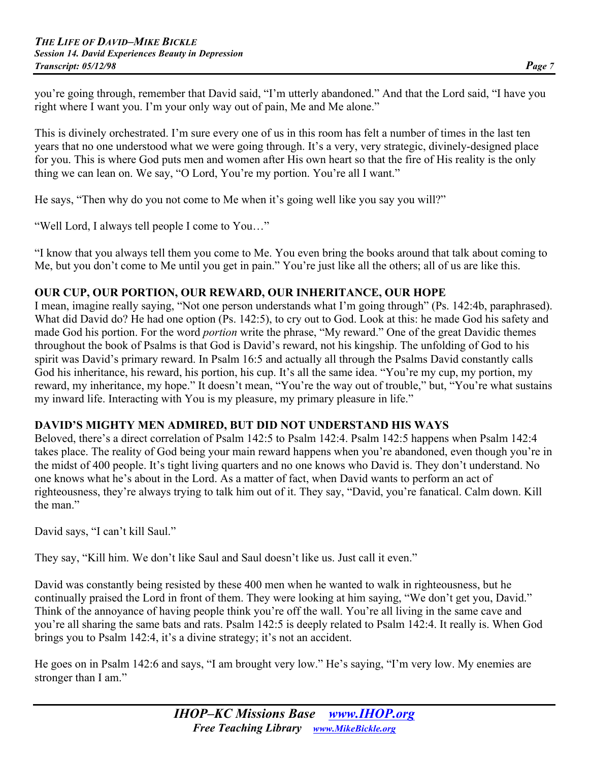you're going through, remember that David said, "I'm utterly abandoned." And that the Lord said, "I have you right where I want you. I'm your only way out of pain, Me and Me alone."

This is divinely orchestrated. I'm sure every one of us in this room has felt a number of times in the last ten years that no one understood what we were going through. It's a very, very strategic, divinely-designed place for you. This is where God puts men and women after His own heart so that the fire of His reality is the only thing we can lean on. We say, "O Lord, You're my portion. You're all I want."

He says, "Then why do you not come to Me when it's going well like you say you will?"

"Well Lord, I always tell people I come to You…"

"I know that you always tell them you come to Me. You even bring the books around that talk about coming to Me, but you don't come to Me until you get in pain." You're just like all the others; all of us are like this.

### **OUR CUP, OUR PORTION, OUR REWARD, OUR INHERITANCE, OUR HOPE**

I mean, imagine really saying, "Not one person understands what I'm going through" (Ps. 142:4b, paraphrased). What did David do? He had one option (Ps. 142:5), to cry out to God. Look at this: he made God his safety and made God his portion. For the word *portion* write the phrase, "My reward." One of the great Davidic themes throughout the book of Psalms is that God is David's reward, not his kingship. The unfolding of God to his spirit was David's primary reward. In Psalm 16:5 and actually all through the Psalms David constantly calls God his inheritance, his reward, his portion, his cup. It's all the same idea. "You're my cup, my portion, my reward, my inheritance, my hope." It doesn't mean, "You're the way out of trouble," but, "You're what sustains my inward life. Interacting with You is my pleasure, my primary pleasure in life."

### **DAVID'S MIGHTY MEN ADMIRED, BUT DID NOT UNDERSTAND HIS WAYS**

Beloved, there's a direct correlation of Psalm 142:5 to Psalm 142:4. Psalm 142:5 happens when Psalm 142:4 takes place. The reality of God being your main reward happens when you're abandoned, even though you're in the midst of 400 people. It's tight living quarters and no one knows who David is. They don't understand. No one knows what he's about in the Lord. As a matter of fact, when David wants to perform an act of righteousness, they're always trying to talk him out of it. They say, "David, you're fanatical. Calm down. Kill the man"

David says, "I can't kill Saul."

They say, "Kill him. We don't like Saul and Saul doesn't like us. Just call it even."

David was constantly being resisted by these 400 men when he wanted to walk in righteousness, but he continually praised the Lord in front of them. They were looking at him saying, "We don't get you, David." Think of the annoyance of having people think you're off the wall. You're all living in the same cave and you're all sharing the same bats and rats. Psalm 142:5 is deeply related to Psalm 142:4. It really is. When God brings you to Psalm 142:4, it's a divine strategy; it's not an accident.

He goes on in Psalm 142:6 and says, "I am brought very low." He's saying, "I'm very low. My enemies are stronger than I am."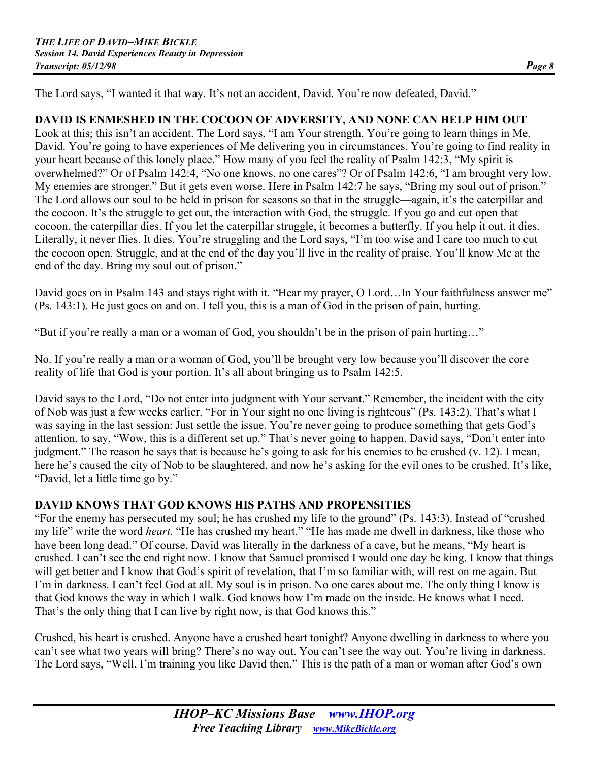The Lord says, "I wanted it that way. It's not an accident, David. You're now defeated, David."

## **DAVID IS ENMESHED IN THE COCOON OF ADVERSITY, AND NONE CAN HELP HIM OUT**

Look at this; this isn't an accident. The Lord says, "I am Your strength. You're going to learn things in Me, David. You're going to have experiences of Me delivering you in circumstances. You're going to find reality in your heart because of this lonely place." How many of you feel the reality of Psalm 142:3, "My spirit is overwhelmed?" Or of Psalm 142:4, "No one knows, no one cares"? Or of Psalm 142:6, "I am brought very low. My enemies are stronger." But it gets even worse. Here in Psalm 142:7 he says, "Bring my soul out of prison." The Lord allows our soul to be held in prison for seasons so that in the struggle—again, it's the caterpillar and the cocoon. It's the struggle to get out, the interaction with God, the struggle. If you go and cut open that cocoon, the caterpillar dies. If you let the caterpillar struggle, it becomes a butterfly. If you help it out, it dies. Literally, it never flies. It dies. You're struggling and the Lord says, "I'm too wise and I care too much to cut the cocoon open. Struggle, and at the end of the day you'll live in the reality of praise. You'll know Me at the end of the day. Bring my soul out of prison."

David goes on in Psalm 143 and stays right with it. "Hear my prayer, O Lord...In Your faithfulness answer me" (Ps. 143:1). He just goes on and on. I tell you, this is a man of God in the prison of pain, hurting.

"But if you're really a man or a woman of God, you shouldn't be in the prison of pain hurting…"

No. If you're really a man or a woman of God, you'll be brought very low because you'll discover the core reality of life that God is your portion. It's all about bringing us to Psalm 142:5.

David says to the Lord, "Do not enter into judgment with Your servant." Remember, the incident with the city of Nob was just a few weeks earlier. "For in Your sight no one living is righteous" (Ps. 143:2). That's what I was saying in the last session: Just settle the issue. You're never going to produce something that gets God's attention, to say, "Wow, this is a different set up." That's never going to happen. David says, "Don't enter into judgment." The reason he says that is because he's going to ask for his enemies to be crushed (v. 12). I mean, here he's caused the city of Nob to be slaughtered, and now he's asking for the evil ones to be crushed. It's like, "David, let a little time go by."

### **DAVID KNOWS THAT GOD KNOWS HIS PATHS AND PROPENSITIES**

"For the enemy has persecuted my soul; he has crushed my life to the ground" (Ps. 143:3). Instead of "crushed my life" write the word *heart*. "He has crushed my heart." "He has made me dwell in darkness, like those who have been long dead." Of course, David was literally in the darkness of a cave, but he means, "My heart is crushed. I can't see the end right now. I know that Samuel promised I would one day be king. I know that things will get better and I know that God's spirit of revelation, that I'm so familiar with, will rest on me again. But I'm in darkness. I can't feel God at all. My soul is in prison. No one cares about me. The only thing I know is that God knows the way in which I walk. God knows how I'm made on the inside. He knows what I need. That's the only thing that I can live by right now, is that God knows this."

Crushed, his heart is crushed. Anyone have a crushed heart tonight? Anyone dwelling in darkness to where you can't see what two years will bring? There's no way out. You can't see the way out. You're living in darkness. The Lord says, "Well, I'm training you like David then." This is the path of a man or woman after God's own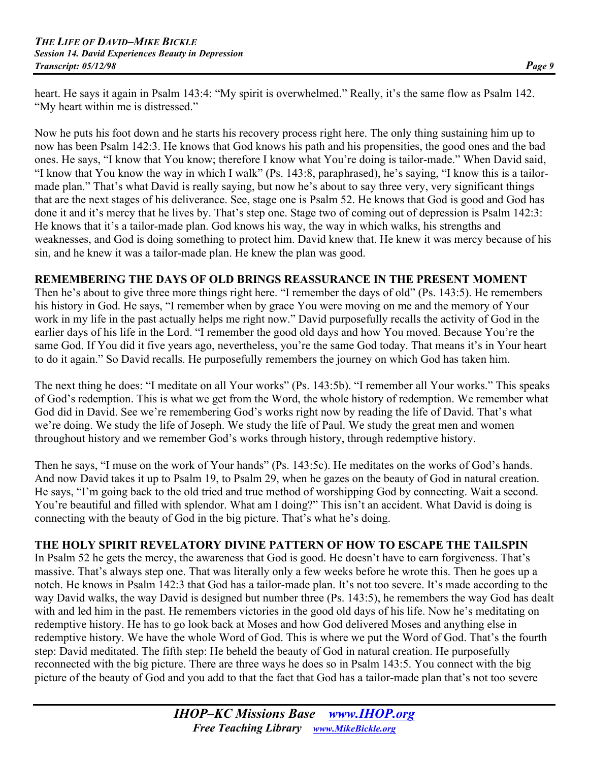heart. He says it again in Psalm 143:4: "My spirit is overwhelmed." Really, it's the same flow as Psalm 142. "My heart within me is distressed."

Now he puts his foot down and he starts his recovery process right here. The only thing sustaining him up to now has been Psalm 142:3. He knows that God knows his path and his propensities, the good ones and the bad ones. He says, "I know that You know; therefore I know what You're doing is tailor-made." When David said, "I know that You know the way in which I walk" (Ps. 143:8, paraphrased), he's saying, "I know this is a tailormade plan." That's what David is really saying, but now he's about to say three very, very significant things that are the next stages of his deliverance. See, stage one is Psalm 52. He knows that God is good and God has done it and it's mercy that he lives by. That's step one. Stage two of coming out of depression is Psalm 142:3: He knows that it's a tailor-made plan. God knows his way, the way in which walks, his strengths and weaknesses, and God is doing something to protect him. David knew that. He knew it was mercy because of his sin, and he knew it was a tailor-made plan. He knew the plan was good.

### **REMEMBERING THE DAYS OF OLD BRINGS REASSURANCE IN THE PRESENT MOMENT**

Then he's about to give three more things right here. "I remember the days of old" (Ps. 143:5). He remembers his history in God. He says, "I remember when by grace You were moving on me and the memory of Your work in my life in the past actually helps me right now." David purposefully recalls the activity of God in the earlier days of his life in the Lord. "I remember the good old days and how You moved. Because You're the same God. If You did it five years ago, nevertheless, you're the same God today. That means it's in Your heart to do it again." So David recalls. He purposefully remembers the journey on which God has taken him.

The next thing he does: "I meditate on all Your works" (Ps. 143:5b). "I remember all Your works." This speaks of God's redemption. This is what we get from the Word, the whole history of redemption. We remember what God did in David. See we're remembering God's works right now by reading the life of David. That's what we're doing. We study the life of Joseph. We study the life of Paul. We study the great men and women throughout history and we remember God's works through history, through redemptive history.

Then he says, "I muse on the work of Your hands" (Ps. 143:5c). He meditates on the works of God's hands. And now David takes it up to Psalm 19, to Psalm 29, when he gazes on the beauty of God in natural creation. He says, "I'm going back to the old tried and true method of worshipping God by connecting. Wait a second. You're beautiful and filled with splendor. What am I doing?" This isn't an accident. What David is doing is connecting with the beauty of God in the big picture. That's what he's doing.

#### **THE HOLY SPIRIT REVELATORY DIVINE PATTERN OF HOW TO ESCAPE THE TAILSPIN**

In Psalm 52 he gets the mercy, the awareness that God is good. He doesn't have to earn forgiveness. That's massive. That's always step one. That was literally only a few weeks before he wrote this. Then he goes up a notch. He knows in Psalm 142:3 that God has a tailor-made plan. It's not too severe. It's made according to the way David walks, the way David is designed but number three (Ps. 143:5), he remembers the way God has dealt with and led him in the past. He remembers victories in the good old days of his life. Now he's meditating on redemptive history. He has to go look back at Moses and how God delivered Moses and anything else in redemptive history. We have the whole Word of God. This is where we put the Word of God. That's the fourth step: David meditated. The fifth step: He beheld the beauty of God in natural creation. He purposefully reconnected with the big picture. There are three ways he does so in Psalm 143:5. You connect with the big picture of the beauty of God and you add to that the fact that God has a tailor-made plan that's not too severe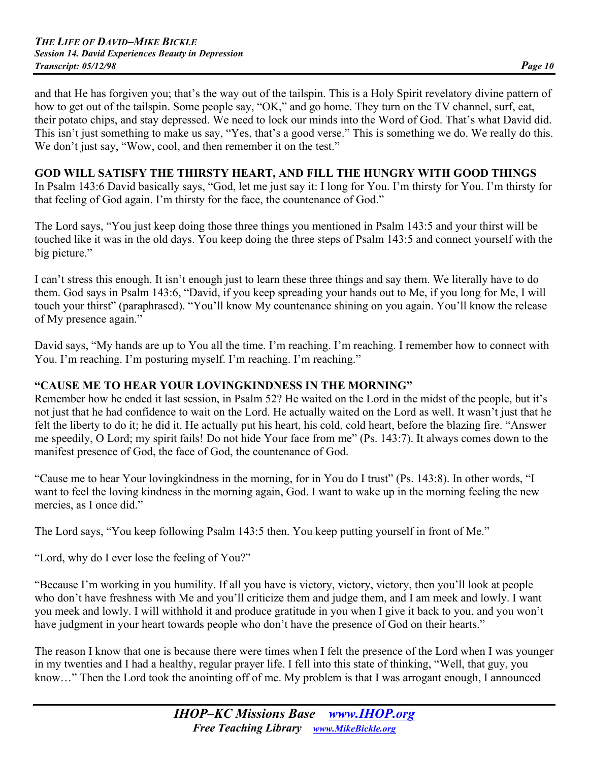and that He has forgiven you; that's the way out of the tailspin. This is a Holy Spirit revelatory divine pattern of how to get out of the tailspin. Some people say, "OK," and go home. They turn on the TV channel, surf, eat, their potato chips, and stay depressed. We need to lock our minds into the Word of God. That's what David did. This isn't just something to make us say, "Yes, that's a good verse." This is something we do. We really do this. We don't just say, "Wow, cool, and then remember it on the test."

#### **GOD WILL SATISFY THE THIRSTY HEART, AND FILL THE HUNGRY WITH GOOD THINGS**

In Psalm 143:6 David basically says, "God, let me just say it: I long for You. I'm thirsty for You. I'm thirsty for that feeling of God again. I'm thirsty for the face, the countenance of God."

The Lord says, "You just keep doing those three things you mentioned in Psalm 143:5 and your thirst will be touched like it was in the old days. You keep doing the three steps of Psalm 143:5 and connect yourself with the big picture."

I can't stress this enough. It isn't enough just to learn these three things and say them. We literally have to do them. God says in Psalm 143:6, "David, if you keep spreading your hands out to Me, if you long for Me, I will touch your thirst" (paraphrased). "You'll know My countenance shining on you again. You'll know the release of My presence again."

David says, "My hands are up to You all the time. I'm reaching. I'm reaching. I remember how to connect with You. I'm reaching. I'm posturing myself. I'm reaching. I'm reaching."

#### **"CAUSE ME TO HEAR YOUR LOVINGKINDNESS IN THE MORNING"**

Remember how he ended it last session, in Psalm 52? He waited on the Lord in the midst of the people, but it's not just that he had confidence to wait on the Lord. He actually waited on the Lord as well. It wasn't just that he felt the liberty to do it; he did it. He actually put his heart, his cold, cold heart, before the blazing fire. "Answer me speedily, O Lord; my spirit fails! Do not hide Your face from me" (Ps. 143:7). It always comes down to the manifest presence of God, the face of God, the countenance of God.

"Cause me to hear Your lovingkindness in the morning, for in You do I trust" (Ps. 143:8). In other words, "I want to feel the loving kindness in the morning again, God. I want to wake up in the morning feeling the new mercies, as I once did."

The Lord says, "You keep following Psalm 143:5 then. You keep putting yourself in front of Me."

"Lord, why do I ever lose the feeling of You?"

"Because I'm working in you humility. If all you have is victory, victory, victory, then you'll look at people who don't have freshness with Me and you'll criticize them and judge them, and I am meek and lowly. I want you meek and lowly. I will withhold it and produce gratitude in you when I give it back to you, and you won't have judgment in your heart towards people who don't have the presence of God on their hearts."

The reason I know that one is because there were times when I felt the presence of the Lord when I was younger in my twenties and I had a healthy, regular prayer life. I fell into this state of thinking, "Well, that guy, you know…" Then the Lord took the anointing off of me. My problem is that I was arrogant enough, I announced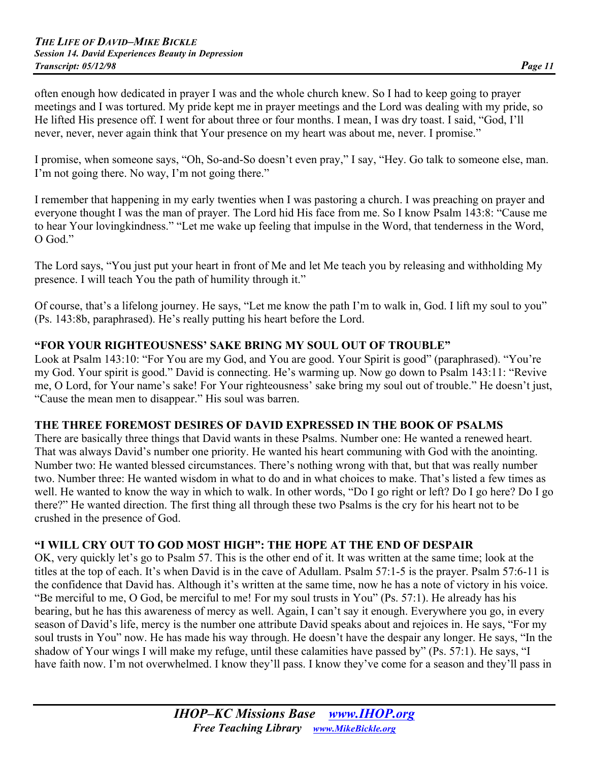often enough how dedicated in prayer I was and the whole church knew. So I had to keep going to prayer meetings and I was tortured. My pride kept me in prayer meetings and the Lord was dealing with my pride, so He lifted His presence off. I went for about three or four months. I mean, I was dry toast. I said, "God, I'll never, never, never again think that Your presence on my heart was about me, never. I promise."

I promise, when someone says, "Oh, So-and-So doesn't even pray," I say, "Hey. Go talk to someone else, man. I'm not going there. No way, I'm not going there."

I remember that happening in my early twenties when I was pastoring a church. I was preaching on prayer and everyone thought I was the man of prayer. The Lord hid His face from me. So I know Psalm 143:8: "Cause me to hear Your lovingkindness." "Let me wake up feeling that impulse in the Word, that tenderness in the Word, O God."

The Lord says, "You just put your heart in front of Me and let Me teach you by releasing and withholding My presence. I will teach You the path of humility through it."

Of course, that's a lifelong journey. He says, "Let me know the path I'm to walk in, God. I lift my soul to you" (Ps. 143:8b, paraphrased). He's really putting his heart before the Lord.

#### **"FOR YOUR RIGHTEOUSNESS' SAKE BRING MY SOUL OUT OF TROUBLE"**

Look at Psalm 143:10: "For You are my God, and You are good. Your Spirit is good" (paraphrased). "You're my God. Your spirit is good." David is connecting. He's warming up. Now go down to Psalm 143:11: "Revive me, O Lord, for Your name's sake! For Your righteousness' sake bring my soul out of trouble." He doesn't just, "Cause the mean men to disappear." His soul was barren.

#### **THE THREE FOREMOST DESIRES OF DAVID EXPRESSED IN THE BOOK OF PSALMS**

There are basically three things that David wants in these Psalms. Number one: He wanted a renewed heart. That was always David's number one priority. He wanted his heart communing with God with the anointing. Number two: He wanted blessed circumstances. There's nothing wrong with that, but that was really number two. Number three: He wanted wisdom in what to do and in what choices to make. That's listed a few times as well. He wanted to know the way in which to walk. In other words, "Do I go right or left? Do I go here? Do I go there?" He wanted direction. The first thing all through these two Psalms is the cry for his heart not to be crushed in the presence of God.

#### **"I WILL CRY OUT TO GOD MOST HIGH": THE HOPE AT THE END OF DESPAIR**

OK, very quickly let's go to Psalm 57. This is the other end of it. It was written at the same time; look at the titles at the top of each. It's when David is in the cave of Adullam. Psalm 57:1-5 is the prayer. Psalm 57:6-11 is the confidence that David has. Although it's written at the same time, now he has a note of victory in his voice. "Be merciful to me, O God, be merciful to me! For my soul trusts in You" (Ps. 57:1). He already has his bearing, but he has this awareness of mercy as well. Again, I can't say it enough. Everywhere you go, in every season of David's life, mercy is the number one attribute David speaks about and rejoices in. He says, "For my soul trusts in You" now. He has made his way through. He doesn't have the despair any longer. He says, "In the shadow of Your wings I will make my refuge, until these calamities have passed by" (Ps. 57:1). He says, "I have faith now. I'm not overwhelmed. I know they'll pass. I know they've come for a season and they'll pass in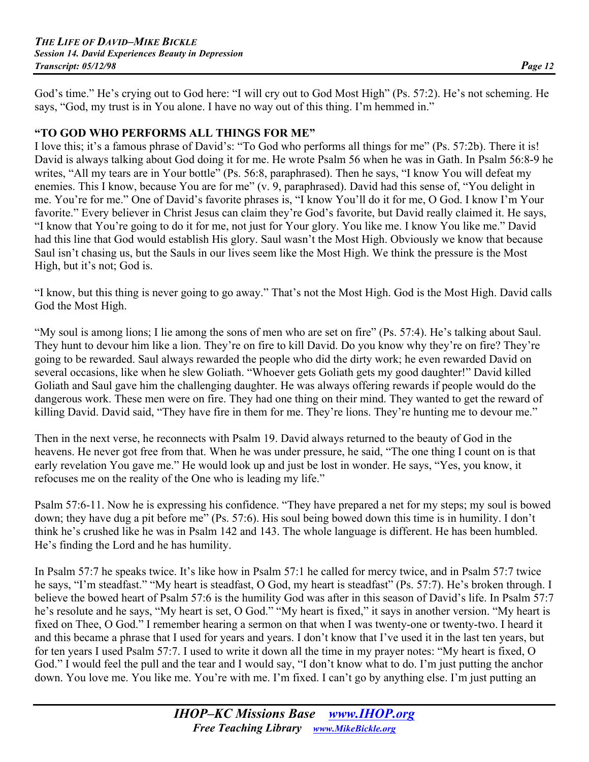God's time." He's crying out to God here: "I will cry out to God Most High" (Ps. 57:2). He's not scheming. He says, "God, my trust is in You alone. I have no way out of this thing. I'm hemmed in."

#### **"TO GOD WHO PERFORMS ALL THINGS FOR ME"**

I love this; it's a famous phrase of David's: "To God who performs all things for me" (Ps. 57:2b). There it is! David is always talking about God doing it for me. He wrote Psalm 56 when he was in Gath. In Psalm 56:8-9 he writes, "All my tears are in Your bottle" (Ps. 56:8, paraphrased). Then he says, "I know You will defeat my enemies. This I know, because You are for me" (v. 9, paraphrased). David had this sense of, "You delight in me. You're for me." One of David's favorite phrases is, "I know You'll do it for me, O God. I know I'm Your favorite." Every believer in Christ Jesus can claim they're God's favorite, but David really claimed it. He says, "I know that You're going to do it for me, not just for Your glory. You like me. I know You like me." David had this line that God would establish His glory. Saul wasn't the Most High. Obviously we know that because Saul isn't chasing us, but the Sauls in our lives seem like the Most High. We think the pressure is the Most High, but it's not; God is.

"I know, but this thing is never going to go away." That's not the Most High. God is the Most High. David calls God the Most High.

"My soul is among lions; I lie among the sons of men who are set on fire" (Ps. 57:4). He's talking about Saul. They hunt to devour him like a lion. They're on fire to kill David. Do you know why they're on fire? They're going to be rewarded. Saul always rewarded the people who did the dirty work; he even rewarded David on several occasions, like when he slew Goliath. "Whoever gets Goliath gets my good daughter!" David killed Goliath and Saul gave him the challenging daughter. He was always offering rewards if people would do the dangerous work. These men were on fire. They had one thing on their mind. They wanted to get the reward of killing David. David said, "They have fire in them for me. They're lions. They're hunting me to devour me."

Then in the next verse, he reconnects with Psalm 19. David always returned to the beauty of God in the heavens. He never got free from that. When he was under pressure, he said, "The one thing I count on is that early revelation You gave me." He would look up and just be lost in wonder. He says, "Yes, you know, it refocuses me on the reality of the One who is leading my life."

Psalm 57:6-11. Now he is expressing his confidence. "They have prepared a net for my steps; my soul is bowed down; they have dug a pit before me" (Ps. 57:6). His soul being bowed down this time is in humility. I don't think he's crushed like he was in Psalm 142 and 143. The whole language is different. He has been humbled. He's finding the Lord and he has humility.

In Psalm 57:7 he speaks twice. It's like how in Psalm 57:1 he called for mercy twice, and in Psalm 57:7 twice he says, "I'm steadfast." "My heart is steadfast, O God, my heart is steadfast" (Ps. 57:7). He's broken through. I believe the bowed heart of Psalm 57:6 is the humility God was after in this season of David's life. In Psalm 57:7 he's resolute and he says, "My heart is set, O God." "My heart is fixed," it says in another version. "My heart is fixed on Thee, O God." I remember hearing a sermon on that when I was twenty-one or twenty-two. I heard it and this became a phrase that I used for years and years. I don't know that I've used it in the last ten years, but for ten years I used Psalm 57:7. I used to write it down all the time in my prayer notes: "My heart is fixed, O God." I would feel the pull and the tear and I would say, "I don't know what to do. I'm just putting the anchor down. You love me. You like me. You're with me. I'm fixed. I can't go by anything else. I'm just putting an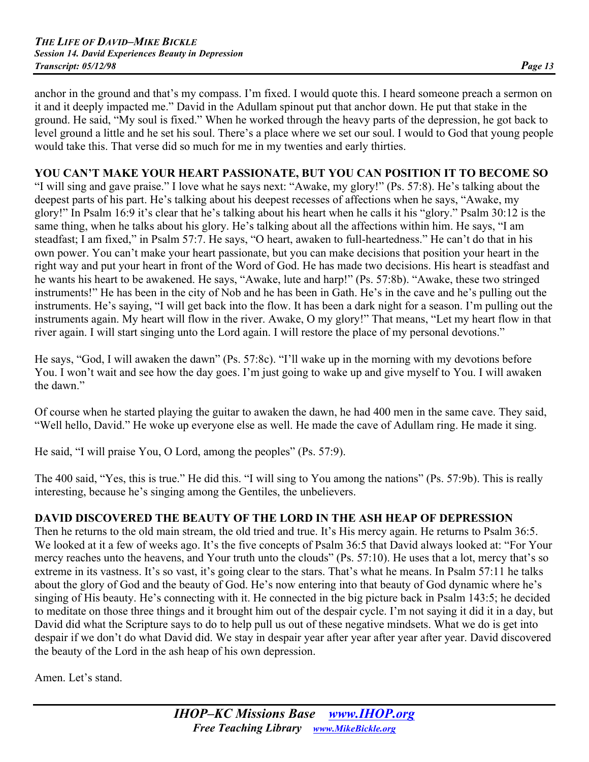anchor in the ground and that's my compass. I'm fixed. I would quote this. I heard someone preach a sermon on it and it deeply impacted me." David in the Adullam spinout put that anchor down. He put that stake in the ground. He said, "My soul is fixed." When he worked through the heavy parts of the depression, he got back to level ground a little and he set his soul. There's a place where we set our soul. I would to God that young people would take this. That verse did so much for me in my twenties and early thirties.

## **YOU CAN'T MAKE YOUR HEART PASSIONATE, BUT YOU CAN POSITION IT TO BECOME SO**

"I will sing and gave praise." I love what he says next: "Awake, my glory!" (Ps. 57:8). He's talking about the deepest parts of his part. He's talking about his deepest recesses of affections when he says, "Awake, my glory!" In Psalm 16:9 it's clear that he's talking about his heart when he calls it his "glory." Psalm 30:12 is the same thing, when he talks about his glory. He's talking about all the affections within him. He says, "I am steadfast; I am fixed," in Psalm 57:7. He says, "O heart, awaken to full-heartedness." He can't do that in his own power. You can't make your heart passionate, but you can make decisions that position your heart in the right way and put your heart in front of the Word of God. He has made two decisions. His heart is steadfast and he wants his heart to be awakened. He says, "Awake, lute and harp!" (Ps. 57:8b). "Awake, these two stringed instruments!" He has been in the city of Nob and he has been in Gath. He's in the cave and he's pulling out the instruments. He's saying, "I will get back into the flow. It has been a dark night for a season. I'm pulling out the instruments again. My heart will flow in the river. Awake, O my glory!" That means, "Let my heart flow in that river again. I will start singing unto the Lord again. I will restore the place of my personal devotions."

He says, "God, I will awaken the dawn" (Ps. 57:8c). "I'll wake up in the morning with my devotions before You. I won't wait and see how the day goes. I'm just going to wake up and give myself to You. I will awaken the dawn."

Of course when he started playing the guitar to awaken the dawn, he had 400 men in the same cave. They said, "Well hello, David." He woke up everyone else as well. He made the cave of Adullam ring. He made it sing.

He said, "I will praise You, O Lord, among the peoples" (Ps. 57:9).

The 400 said, "Yes, this is true." He did this. "I will sing to You among the nations" (Ps. 57:9b). This is really interesting, because he's singing among the Gentiles, the unbelievers.

## **DAVID DISCOVERED THE BEAUTY OF THE LORD IN THE ASH HEAP OF DEPRESSION**

Then he returns to the old main stream, the old tried and true. It's His mercy again. He returns to Psalm 36:5. We looked at it a few of weeks ago. It's the five concepts of Psalm 36:5 that David always looked at: "For Your mercy reaches unto the heavens, and Your truth unto the clouds" (Ps. 57:10). He uses that a lot, mercy that's so extreme in its vastness. It's so vast, it's going clear to the stars. That's what he means. In Psalm 57:11 he talks about the glory of God and the beauty of God. He's now entering into that beauty of God dynamic where he's singing of His beauty. He's connecting with it. He connected in the big picture back in Psalm 143:5; he decided to meditate on those three things and it brought him out of the despair cycle. I'm not saying it did it in a day, but David did what the Scripture says to do to help pull us out of these negative mindsets. What we do is get into despair if we don't do what David did. We stay in despair year after year after year after year. David discovered the beauty of the Lord in the ash heap of his own depression.

Amen. Let's stand.